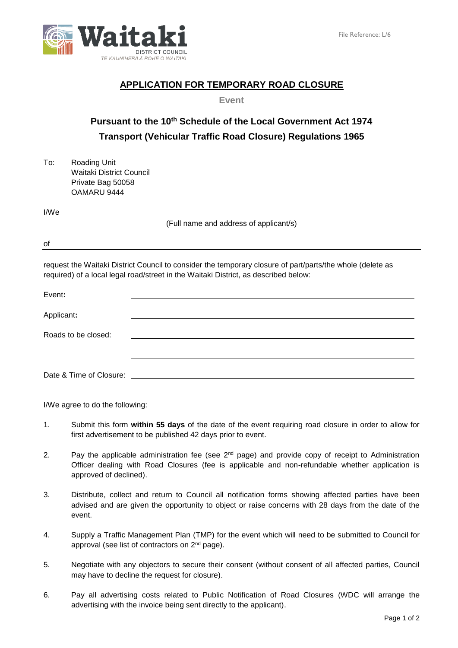

## **APPLICATION FOR TEMPORARY ROAD CLOSURE**

**Event**

## **Pursuant to the 10th Schedule of the Local Government Act 1974 Transport (Vehicular Traffic Road Closure) Regulations 1965**

To: Roading Unit Waitaki District Council Private Bag 50058 OAMARU 9444

I/We

(Full name and address of applicant/s)

of

request the Waitaki District Council to consider the temporary closure of part/parts/the whole (delete as required) of a local legal road/street in the Waitaki District, as described below:

| Event:                  |  |
|-------------------------|--|
| Applicant:              |  |
| Roads to be closed:     |  |
| Date & Time of Closure: |  |

I/We agree to do the following:

- 1. Submit this form **within 55 days** of the date of the event requiring road closure in order to allow for first advertisement to be published 42 days prior to event.
- 2. Pay the applicable administration fee (see 2<sup>nd</sup> page) and provide copy of receipt to Administration Officer dealing with Road Closures (fee is applicable and non-refundable whether application is approved of declined).
- 3. Distribute, collect and return to Council all notification forms showing affected parties have been advised and are given the opportunity to object or raise concerns with 28 days from the date of the event.
- 4. Supply a Traffic Management Plan (TMP) for the event which will need to be submitted to Council for approval (see list of contractors on 2<sup>nd</sup> page).
- 5. Negotiate with any objectors to secure their consent (without consent of all affected parties, Council may have to decline the request for closure).
- 6. Pay all advertising costs related to Public Notification of Road Closures (WDC will arrange the advertising with the invoice being sent directly to the applicant).